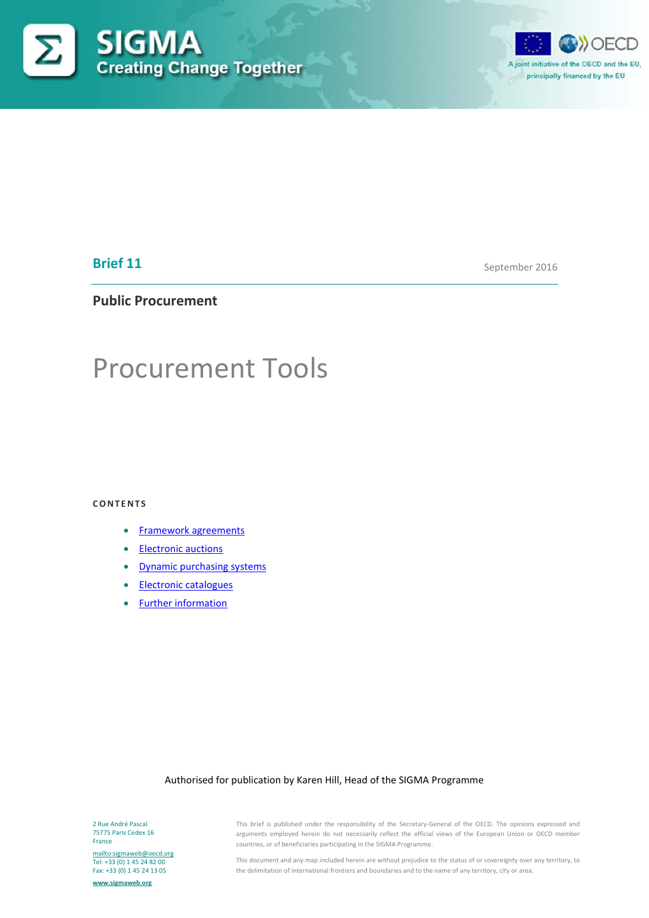



# **Brief 11**

September 2016

## **Public Procurement**

# Procurement Tools

#### **CONTENTS**

- [Framework agreements](#page-1-0)
- [Electronic auctions](#page-5-0)
- [Dynamic purchasing systems](#page-7-0)
- [Electronic catalogues](#page-9-0)
- [Further information](#page-11-0)

#### Authorised for publication by Karen Hill, Head of the SIGMA Programme

2 Rue André Pascal 75775 Paris Cedex 16 France

<mailto:sigmaweb@oecd.org> Tel: +33 (0) 1 45 24 82 00 Fax: +33 (0) 1 45 24 13 05

**[www.sigmaweb.org](http://www.sigmaweb.org/)**

This brief is published under the responsibility of the Secretary-General of the OECD. The opinions expressed and arguments employed herein do not necessarily reflect the official views of the European Union or OECD member countries, or of beneficiaries participating in the SIGMA Programme.

This document and any map included herein are without prejudice to the status of or sovereignty over any territory, to the delimitation of international frontiers and boundaries and to the name of any territory, city or area.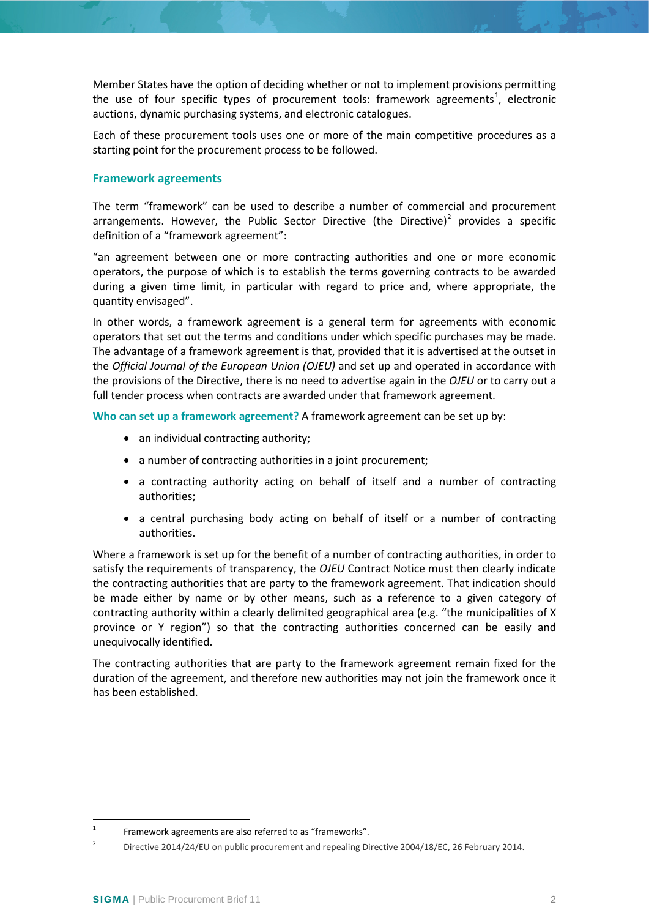Member States have the option of deciding whether or not to implement provisions permitting the use of four specific types of procurement tools: framework agreements<sup>[1](#page-1-1)</sup>, electronic auctions, dynamic purchasing systems, and electronic catalogues.

Each of these procurement tools uses one or more of the main competitive procedures as a starting point for the procurement process to be followed.

## <span id="page-1-0"></span>**Framework agreements**

The term "framework" can be used to describe a number of commercial and procurement arrangements. However, the Public Sector Directive (the Directive)<sup>[2](#page-1-2)</sup> provides a specific definition of a "framework agreement":

"an agreement between one or more contracting authorities and one or more economic operators, the purpose of which is to establish the terms governing contracts to be awarded during a given time limit, in particular with regard to price and, where appropriate, the quantity envisaged".

In other words, a framework agreement is a general term for agreements with economic operators that set out the terms and conditions under which specific purchases may be made. The advantage of a framework agreement is that, provided that it is advertised at the outset in the *Official Journal of the European Union (OJEU)* and set up and operated in accordance with the provisions of the Directive, there is no need to advertise again in the *OJEU* or to carry out a full tender process when contracts are awarded under that framework agreement.

**Who can set up a framework agreement?** A framework agreement can be set up by:

- an individual contracting authority;
- a number of contracting authorities in a joint procurement;
- a contracting authority acting on behalf of itself and a number of contracting authorities;
- a central purchasing body acting on behalf of itself or a number of contracting authorities.

Where a framework is set up for the benefit of a number of contracting authorities, in order to satisfy the requirements of transparency, the *OJEU* Contract Notice must then clearly indicate the contracting authorities that are party to the framework agreement. That indication should be made either by name or by other means, such as a reference to a given category of contracting authority within a clearly delimited geographical area (e.g. "the municipalities of X province or Y region") so that the contracting authorities concerned can be easily and unequivocally identified.

The contracting authorities that are party to the framework agreement remain fixed for the duration of the agreement, and therefore new authorities may not join the framework once it has been established.

<span id="page-1-1"></span><sup>&</sup>lt;sup>1</sup> Framework agreements are also referred to as "frameworks".

<span id="page-1-2"></span><sup>&</sup>lt;sup>2</sup> Directive 2014/24/EU on public procurement and repealing Directive 2004/18/EC, 26 February 2014.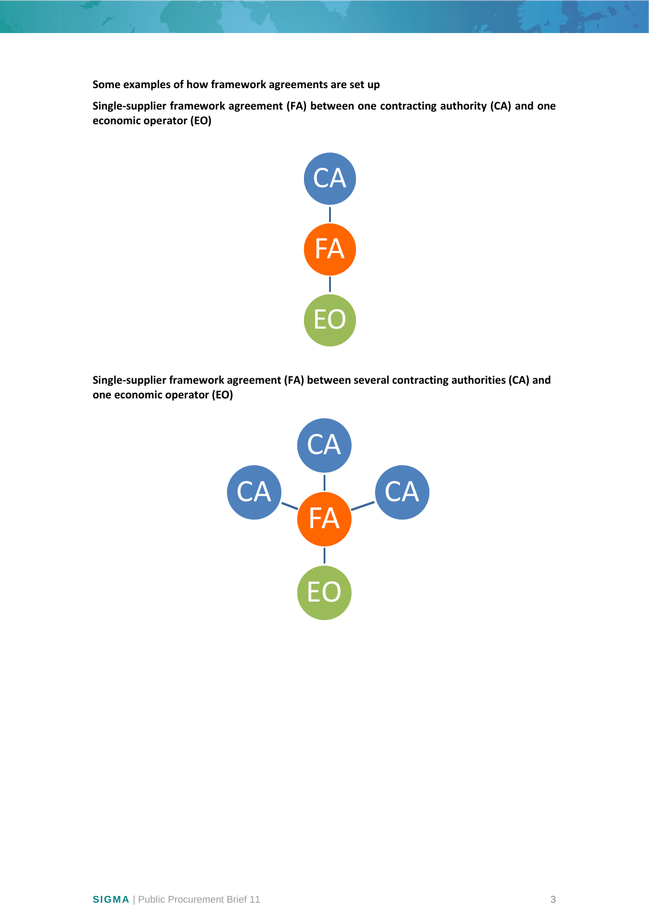**Some examples of how framework agreements are set up**

**Single-supplier framework agreement (FA) between one contracting authority (CA) and one economic operator (EO)**



**Single-supplier framework agreement (FA) between several contracting authorities (CA) and one economic operator (EO)**

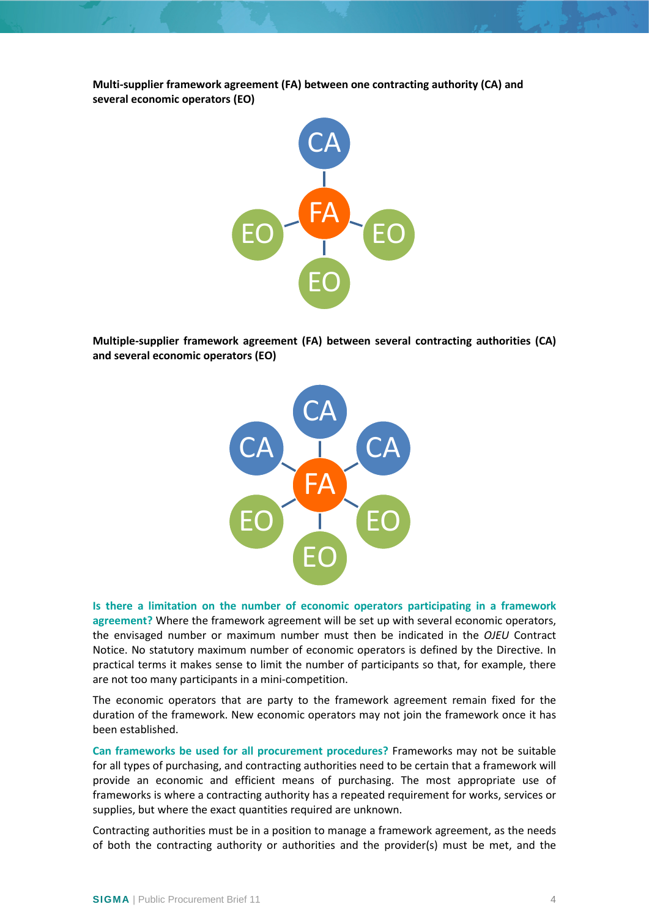**Multi-supplier framework agreement (FA) between one contracting authority (CA) and several economic operators (EO)**



**Multiple-supplier framework agreement (FA) between several contracting authorities (CA) and several economic operators (EO)**



**Is there a limitation on the number of economic operators participating in a framework agreement?** Where the framework agreement will be set up with several economic operators, the envisaged number or maximum number must then be indicated in the *OJEU* Contract Notice. No statutory maximum number of economic operators is defined by the Directive. In practical terms it makes sense to limit the number of participants so that, for example, there are not too many participants in a mini-competition.

The economic operators that are party to the framework agreement remain fixed for the duration of the framework. New economic operators may not join the framework once it has been established.

**Can frameworks be used for all procurement procedures?** Frameworks may not be suitable for all types of purchasing, and contracting authorities need to be certain that a framework will provide an economic and efficient means of purchasing. The most appropriate use of frameworks is where a contracting authority has a repeated requirement for works, services or supplies, but where the exact quantities required are unknown.

Contracting authorities must be in a position to manage a framework agreement, as the needs of both the contracting authority or authorities and the provider(s) must be met, and the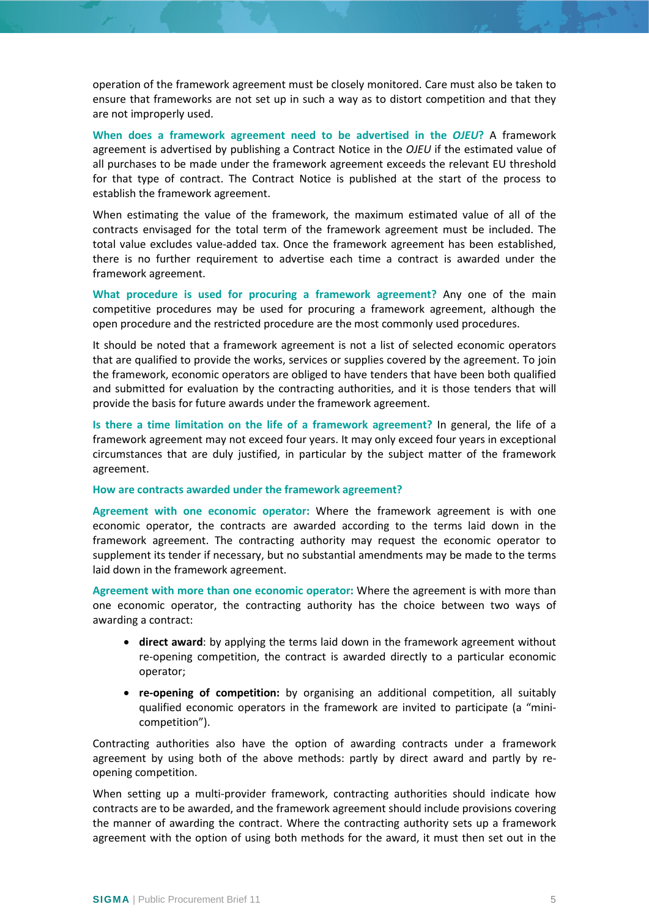operation of the framework agreement must be closely monitored. Care must also be taken to ensure that frameworks are not set up in such a way as to distort competition and that they are not improperly used.

**When does a framework agreement need to be advertised in the** *OJEU***?** A framework agreement is advertised by publishing a Contract Notice in the *OJEU* if the estimated value of all purchases to be made under the framework agreement exceeds the relevant EU threshold for that type of contract. The Contract Notice is published at the start of the process to establish the framework agreement.

When estimating the value of the framework, the maximum estimated value of all of the contracts envisaged for the total term of the framework agreement must be included. The total value excludes value-added tax. Once the framework agreement has been established, there is no further requirement to advertise each time a contract is awarded under the framework agreement.

**What procedure is used for procuring a framework agreement?** Any one of the main competitive procedures may be used for procuring a framework agreement, although the open procedure and the restricted procedure are the most commonly used procedures.

It should be noted that a framework agreement is not a list of selected economic operators that are qualified to provide the works, services or supplies covered by the agreement. To join the framework, economic operators are obliged to have tenders that have been both qualified and submitted for evaluation by the contracting authorities, and it is those tenders that will provide the basis for future awards under the framework agreement.

**Is there a time limitation on the life of a framework agreement?** In general, the life of a framework agreement may not exceed four years. It may only exceed four years in exceptional circumstances that are duly justified, in particular by the subject matter of the framework agreement.

#### **How are contracts awarded under the framework agreement?**

**Agreement with one economic operator:** Where the framework agreement is with one economic operator, the contracts are awarded according to the terms laid down in the framework agreement. The contracting authority may request the economic operator to supplement its tender if necessary, but no substantial amendments may be made to the terms laid down in the framework agreement.

**Agreement with more than one economic operator:** Where the agreement is with more than one economic operator, the contracting authority has the choice between two ways of awarding a contract:

- **direct award**: by applying the terms laid down in the framework agreement without re-opening competition, the contract is awarded directly to a particular economic operator;
- **re-opening of competition:** by organising an additional competition, all suitably qualified economic operators in the framework are invited to participate (a "minicompetition").

Contracting authorities also have the option of awarding contracts under a framework agreement by using both of the above methods: partly by direct award and partly by reopening competition.

When setting up a multi-provider framework, contracting authorities should indicate how contracts are to be awarded, and the framework agreement should include provisions covering the manner of awarding the contract. Where the contracting authority sets up a framework agreement with the option of using both methods for the award, it must then set out in the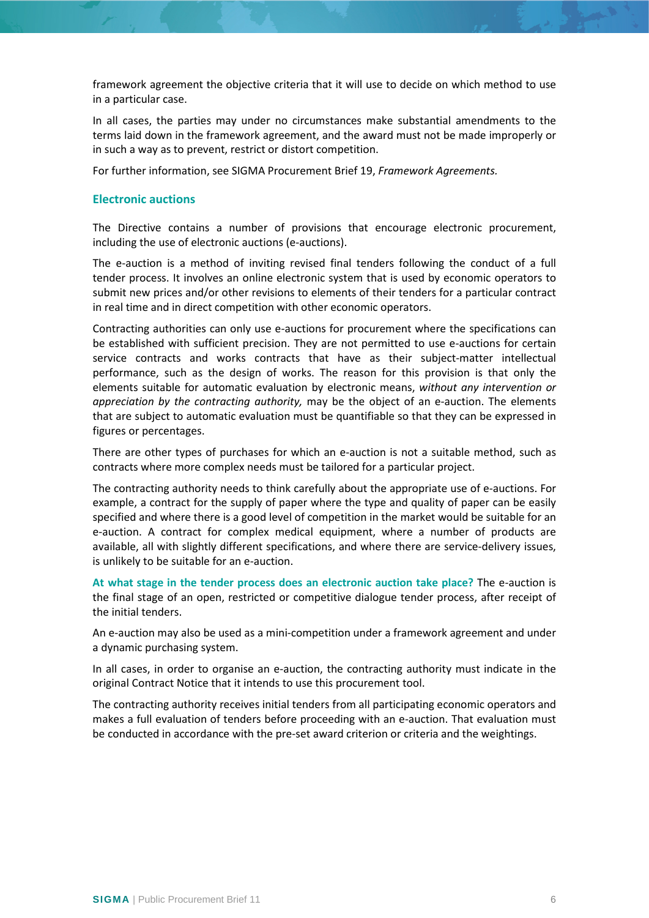framework agreement the objective criteria that it will use to decide on which method to use in a particular case.

In all cases, the parties may under no circumstances make substantial amendments to the terms laid down in the framework agreement, and the award must not be made improperly or in such a way as to prevent, restrict or distort competition.

For further information, see SIGMA Procurement Brief 19, *Framework Agreements.*

## <span id="page-5-0"></span>**Electronic auctions**

The Directive contains a number of provisions that encourage electronic procurement, including the use of electronic auctions (e-auctions).

The e-auction is a method of inviting revised final tenders following the conduct of a full tender process. It involves an online electronic system that is used by economic operators to submit new prices and/or other revisions to elements of their tenders for a particular contract in real time and in direct competition with other economic operators.

Contracting authorities can only use e-auctions for procurement where the specifications can be established with sufficient precision. They are not permitted to use e-auctions for certain service contracts and works contracts that have as their subject-matter intellectual performance, such as the design of works. The reason for this provision is that only the elements suitable for automatic evaluation by electronic means, *without any intervention or appreciation by the contracting authority,* may be the object of an e-auction. The elements that are subject to automatic evaluation must be quantifiable so that they can be expressed in figures or percentages.

There are other types of purchases for which an e-auction is not a suitable method, such as contracts where more complex needs must be tailored for a particular project.

The contracting authority needs to think carefully about the appropriate use of e-auctions. For example, a contract for the supply of paper where the type and quality of paper can be easily specified and where there is a good level of competition in the market would be suitable for an e-auction. A contract for complex medical equipment, where a number of products are available, all with slightly different specifications, and where there are service-delivery issues, is unlikely to be suitable for an e-auction.

**At what stage in the tender process does an electronic auction take place?** The e-auction is the final stage of an open, restricted or competitive dialogue tender process, after receipt of the initial tenders.

An e-auction may also be used as a mini-competition under a framework agreement and under a dynamic purchasing system.

In all cases, in order to organise an e-auction, the contracting authority must indicate in the original Contract Notice that it intends to use this procurement tool.

The contracting authority receives initial tenders from all participating economic operators and makes a full evaluation of tenders before proceeding with an e-auction. That evaluation must be conducted in accordance with the pre-set award criterion or criteria and the weightings.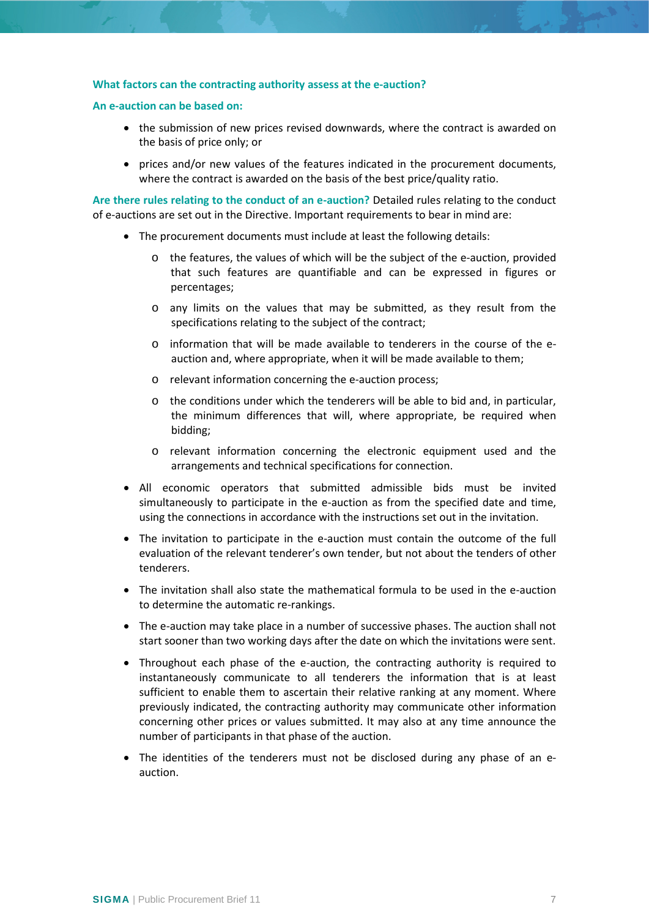#### **What factors can the contracting authority assess at the e-auction?**

#### **An e-auction can be based on:**

- the submission of new prices revised downwards, where the contract is awarded on the basis of price only; or
- prices and/or new values of the features indicated in the procurement documents, where the contract is awarded on the basis of the best price/quality ratio.

**Are there rules relating to the conduct of an e-auction?** Detailed rules relating to the conduct of e-auctions are set out in the Directive. Important requirements to bear in mind are:

- The procurement documents must include at least the following details:
	- $\circ$  the features, the values of which will be the subject of the e-auction, provided that such features are quantifiable and can be expressed in figures or percentages;
	- o any limits on the values that may be submitted, as they result from the specifications relating to the subject of the contract;
	- $\circ$  information that will be made available to tenderers in the course of the eauction and, where appropriate, when it will be made available to them;
	- o relevant information concerning the e-auction process;
	- $\circ$  the conditions under which the tenderers will be able to bid and, in particular, the minimum differences that will, where appropriate, be required when bidding;
	- o relevant information concerning the electronic equipment used and the arrangements and technical specifications for connection.
- All economic operators that submitted admissible bids must be invited simultaneously to participate in the e-auction as from the specified date and time, using the connections in accordance with the instructions set out in the invitation.
- The invitation to participate in the e-auction must contain the outcome of the full evaluation of the relevant tenderer's own tender, but not about the tenders of other tenderers.
- The invitation shall also state the mathematical formula to be used in the e-auction to determine the automatic re-rankings.
- The e-auction may take place in a number of successive phases. The auction shall not start sooner than two working days after the date on which the invitations were sent.
- Throughout each phase of the e-auction, the contracting authority is required to instantaneously communicate to all tenderers the information that is at least sufficient to enable them to ascertain their relative ranking at any moment. Where previously indicated, the contracting authority may communicate other information concerning other prices or values submitted. It may also at any time announce the number of participants in that phase of the auction.
- The identities of the tenderers must not be disclosed during any phase of an eauction.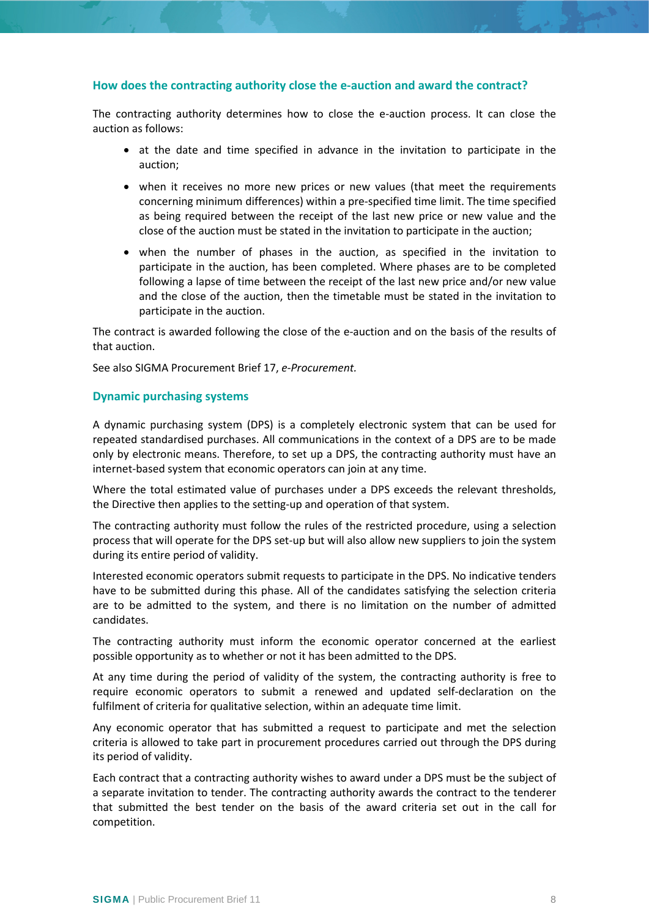## **How does the contracting authority close the e-auction and award the contract?**

The contracting authority determines how to close the e-auction process. It can close the auction as follows:

- at the date and time specified in advance in the invitation to participate in the auction;
- when it receives no more new prices or new values (that meet the requirements concerning minimum differences) within a pre-specified time limit. The time specified as being required between the receipt of the last new price or new value and the close of the auction must be stated in the invitation to participate in the auction;
- when the number of phases in the auction, as specified in the invitation to participate in the auction, has been completed. Where phases are to be completed following a lapse of time between the receipt of the last new price and/or new value and the close of the auction, then the timetable must be stated in the invitation to participate in the auction.

The contract is awarded following the close of the e-auction and on the basis of the results of that auction.

See also SIGMA Procurement Brief 17, *e-Procurement.*

#### <span id="page-7-0"></span>**Dynamic purchasing systems**

A dynamic purchasing system (DPS) is a completely electronic system that can be used for repeated standardised purchases. All communications in the context of a DPS are to be made only by electronic means. Therefore, to set up a DPS, the contracting authority must have an internet-based system that economic operators can join at any time.

Where the total estimated value of purchases under a DPS exceeds the relevant thresholds, the Directive then applies to the setting-up and operation of that system.

The contracting authority must follow the rules of the restricted procedure, using a selection process that will operate for the DPS set-up but will also allow new suppliers to join the system during its entire period of validity.

Interested economic operators submit requests to participate in the DPS. No indicative tenders have to be submitted during this phase. All of the candidates satisfying the selection criteria are to be admitted to the system, and there is no limitation on the number of admitted candidates.

The contracting authority must inform the economic operator concerned at the earliest possible opportunity as to whether or not it has been admitted to the DPS.

At any time during the period of validity of the system, the contracting authority is free to require economic operators to submit a renewed and updated self-declaration on the fulfilment of criteria for qualitative selection, within an adequate time limit.

Any economic operator that has submitted a request to participate and met the selection criteria is allowed to take part in procurement procedures carried out through the DPS during its period of validity.

Each contract that a contracting authority wishes to award under a DPS must be the subject of a separate invitation to tender. The contracting authority awards the contract to the tenderer that submitted the best tender on the basis of the award criteria set out in the call for competition.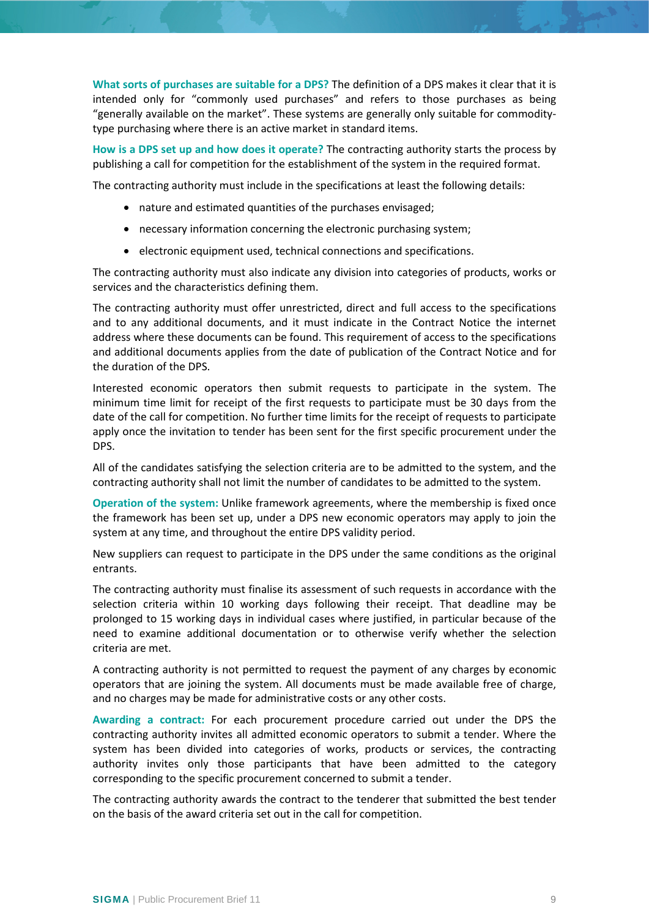**What sorts of purchases are suitable for a DPS?** The definition of a DPS makes it clear that it is intended only for "commonly used purchases" and refers to those purchases as being "generally available on the market". These systems are generally only suitable for commoditytype purchasing where there is an active market in standard items.

**How is a DPS set up and how does it operate?** The contracting authority starts the process by publishing a call for competition for the establishment of the system in the required format.

The contracting authority must include in the specifications at least the following details:

- nature and estimated quantities of the purchases envisaged;
- necessary information concerning the electronic purchasing system;
- electronic equipment used, technical connections and specifications.

The contracting authority must also indicate any division into categories of products, works or services and the characteristics defining them.

The contracting authority must offer unrestricted, direct and full access to the specifications and to any additional documents, and it must indicate in the Contract Notice the internet address where these documents can be found. This requirement of access to the specifications and additional documents applies from the date of publication of the Contract Notice and for the duration of the DPS.

Interested economic operators then submit requests to participate in the system. The minimum time limit for receipt of the first requests to participate must be 30 days from the date of the call for competition. No further time limits for the receipt of requests to participate apply once the invitation to tender has been sent for the first specific procurement under the DPS.

All of the candidates satisfying the selection criteria are to be admitted to the system, and the contracting authority shall not limit the number of candidates to be admitted to the system.

**Operation of the system:** Unlike framework agreements, where the membership is fixed once the framework has been set up, under a DPS new economic operators may apply to join the system at any time, and throughout the entire DPS validity period.

New suppliers can request to participate in the DPS under the same conditions as the original entrants.

The contracting authority must finalise its assessment of such requests in accordance with the selection criteria within 10 working days following their receipt. That deadline may be prolonged to 15 working days in individual cases where justified, in particular because of the need to examine additional documentation or to otherwise verify whether the selection criteria are met.

A contracting authority is not permitted to request the payment of any charges by economic operators that are joining the system. All documents must be made available free of charge, and no charges may be made for administrative costs or any other costs.

**Awarding a contract:** For each procurement procedure carried out under the DPS the contracting authority invites all admitted economic operators to submit a tender. Where the system has been divided into categories of works, products or services, the contracting authority invites only those participants that have been admitted to the category corresponding to the specific procurement concerned to submit a tender.

The contracting authority awards the contract to the tenderer that submitted the best tender on the basis of the award criteria set out in the call for competition.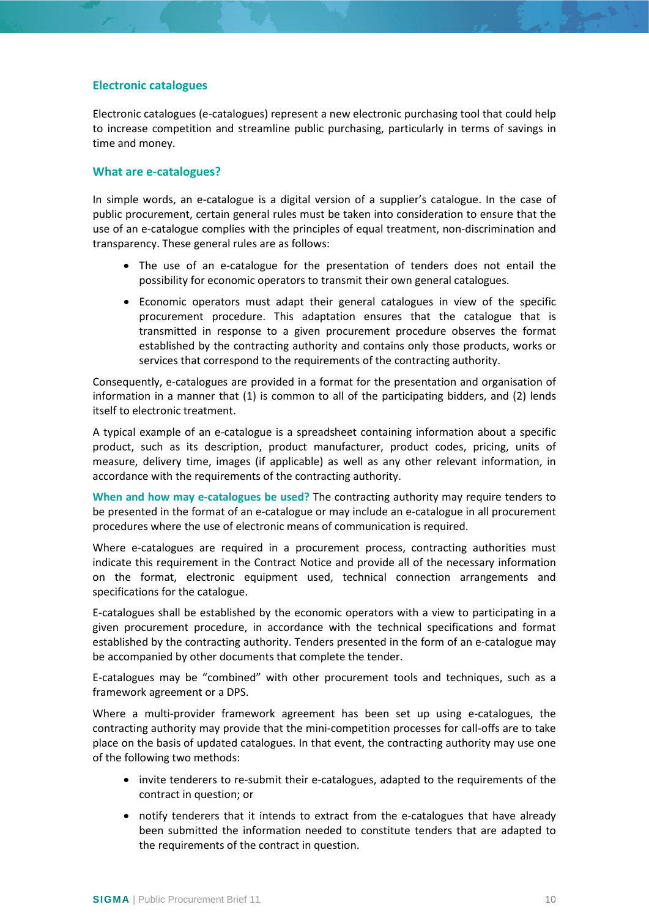## <span id="page-9-0"></span>**Electronic catalogues**

Electronic catalogues (e-catalogues) represent a new electronic purchasing tool that could help to increase competition and streamline public purchasing, particularly in terms of savings in time and money.

#### **What are e-catalogues?**

In simple words, an e-catalogue is a digital version of a supplier's catalogue. In the case of public procurement, certain general rules must be taken into consideration to ensure that the use of an e-catalogue complies with the principles of equal treatment, non-discrimination and transparency. These general rules are as follows:

- The use of an e-catalogue for the presentation of tenders does not entail the possibility for economic operators to transmit their own general catalogues.
- Economic operators must adapt their general catalogues in view of the specific procurement procedure. This adaptation ensures that the catalogue that is transmitted in response to a given procurement procedure observes the format established by the contracting authority and contains only those products, works or services that correspond to the requirements of the contracting authority.

Consequently, e-catalogues are provided in a format for the presentation and organisation of information in a manner that (1) is common to all of the participating bidders, and (2) lends itself to electronic treatment.

A typical example of an e-catalogue is a spreadsheet containing information about a specific product, such as its description, product manufacturer, product codes, pricing, units of measure, delivery time, images (if applicable) as well as any other relevant information, in accordance with the requirements of the contracting authority.

**When and how may e-catalogues be used?** The contracting authority may require tenders to be presented in the format of an e-catalogue or may include an e-catalogue in all procurement procedures where the use of electronic means of communication is required.

Where e-catalogues are required in a procurement process, contracting authorities must indicate this requirement in the Contract Notice and provide all of the necessary information on the format, electronic equipment used, technical connection arrangements and specifications for the catalogue.

E-catalogues shall be established by the economic operators with a view to participating in a given procurement procedure, in accordance with the technical specifications and format established by the contracting authority. Tenders presented in the form of an e-catalogue may be accompanied by other documents that complete the tender.

E-catalogues may be "combined" with other procurement tools and techniques, such as a framework agreement or a DPS.

Where a multi-provider framework agreement has been set up using e-catalogues, the contracting authority may provide that the mini-competition processes for call-offs are to take place on the basis of updated catalogues. In that event, the contracting authority may use one of the following two methods:

- invite tenderers to re-submit their e-catalogues, adapted to the requirements of the contract in question; or
- notify tenderers that it intends to extract from the e-catalogues that have already been submitted the information needed to constitute tenders that are adapted to the requirements of the contract in question.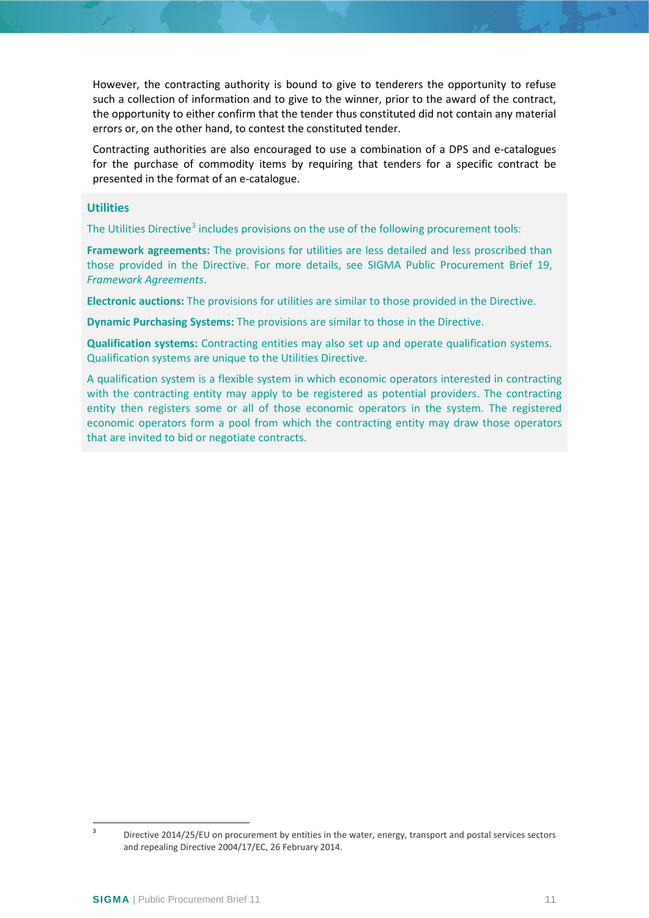However, the contracting authority is bound to give to tenderers the opportunity to refuse such a collection of information and to give to the winner, prior to the award of the contract, the opportunity to either confirm that the tender thus constituted did not contain any material errors or, on the other hand, to contest the constituted tender.

Contracting authorities are also encouraged to use a combination of a DPS and e-catalogues for the purchase of commodity items by requiring that tenders for a specific contract be presented in the format of an e-catalogue.

## **Utilities**

The Utilities Directive<sup>[3](#page-10-0)</sup> includes provisions on the use of the following procurement tools:

**Framework agreements:** The provisions for utilities are less detailed and less proscribed than those provided in the Directive. For more details, see SIGMA Public Procurement Brief 19, *Framework Agreements*.

**Electronic auctions:** The provisions for utilities are similar to those provided in the Directive.

**Dynamic Purchasing Systems:** The provisions are similar to those in the Directive.

**Qualification systems:** Contracting entities may also set up and operate qualification systems. Qualification systems are unique to the Utilities Directive.

A qualification system is a flexible system in which economic operators interested in contracting with the contracting entity may apply to be registered as potential providers. The contracting entity then registers some or all of those economic operators in the system. The registered economic operators form a pool from which the contracting entity may draw those operators that are invited to bid or negotiate contracts.

<span id="page-10-0"></span><sup>&</sup>lt;sup>3</sup> Directive 2014/25/EU on procurement by entities in the water, energy, transport and postal services sectors and repealing Directive 2004/17/EC, 26 February 2014.